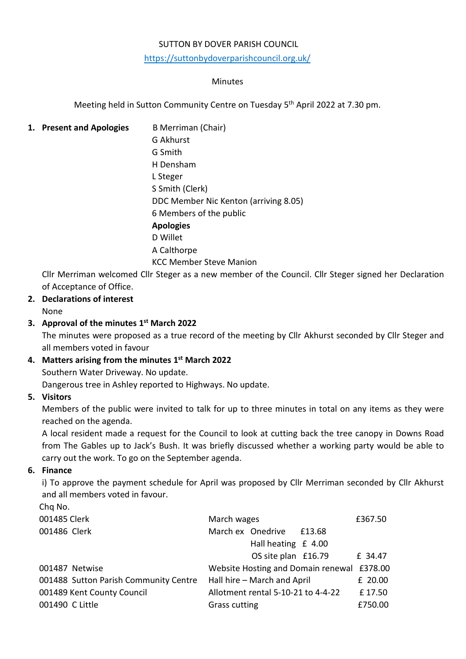#### SUTTON BY DOVER PARISH COUNCIL

<https://suttonbydoverparishcouncil.org.uk/>

#### Minutes

Meeting held in Sutton Community Centre on Tuesday 5<sup>th</sup> April 2022 at 7.30 pm.

#### **1. Present and Apologies** B Merriman (Chair)

G Akhurst G Smith H Densham L Steger S Smith (Clerk) DDC Member Nic Kenton (arriving 8.05) 6 Members of the public **Apologies** D Willet A Calthorpe KCC Member Steve Manion

Cllr Merriman welcomed Cllr Steger as a new member of the Council. Cllr Steger signed her Declaration of Acceptance of Office.

### **2. Declarations of interest**

# None

# **3. Approval of the minutes 1 st March 2022**

The minutes were proposed as a true record of the meeting by Cllr Akhurst seconded by Cllr Steger and all members voted in favour

#### **4. Matters arising from the minutes 1 st March 2022**

Southern Water Driveway. No update.

Dangerous tree in Ashley reported to Highways. No update.

#### **5. Visitors**

Members of the public were invited to talk for up to three minutes in total on any items as they were reached on the agenda.

A local resident made a request for the Council to look at cutting back the tree canopy in Downs Road from The Gables up to Jack's Bush. It was briefly discussed whether a working party would be able to carry out the work. To go on the September agenda.

#### **6. Finance**

i) To approve the payment schedule for April was proposed by Cllr Merriman seconded by Cllr Akhurst and all members voted in favour.

Chq No. 001485 Clerk **Clerk** March wages **2001485** Clerk **E367.50** 001486 Clerk March ex Onedrive £13.68 Hall heating £ 4.00 OS site plan £16.79 £ 34.47 001487 Netwise Website Hosting and Domain renewal £378.00 001488 Sutton Parish Community Centre Hall hire – March and April F 20.00 001489 Kent County Council Allotment rental 5-10-21 to 4-4-22 £ 17.50 001490 C Little **EXECUTE:** Grass cutting **EXECUTE:** E750.00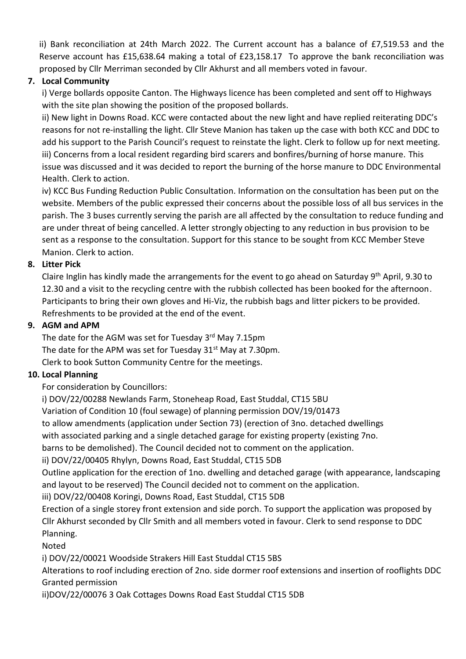ii) Bank reconciliation at 24th March 2022. The Current account has a balance of £7,519.53 and the Reserve account has £15,638.64 making a total of £23,158.17 To approve the bank reconciliation was proposed by Cllr Merriman seconded by Cllr Akhurst and all members voted in favour.

# **7. Local Community**

i) Verge bollards opposite Canton. The Highways licence has been completed and sent off to Highways with the site plan showing the position of the proposed bollards.

ii) New light in Downs Road. KCC were contacted about the new light and have replied reiterating DDC's reasons for not re-installing the light. Cllr Steve Manion has taken up the case with both KCC and DDC to add his support to the Parish Council's request to reinstate the light. Clerk to follow up for next meeting. iii) Concerns from a local resident regarding bird scarers and bonfires/burning of horse manure. This issue was discussed and it was decided to report the burning of the horse manure to DDC Environmental Health. Clerk to action.

iv) KCC Bus Funding Reduction Public Consultation. Information on the consultation has been put on the website. Members of the public expressed their concerns about the possible loss of all bus services in the parish. The 3 buses currently serving the parish are all affected by the consultation to reduce funding and are under threat of being cancelled. A letter strongly objecting to any reduction in bus provision to be sent as a response to the consultation. Support for this stance to be sought from KCC Member Steve Manion. Clerk to action.

### **8. Litter Pick**

Claire Inglin has kindly made the arrangements for the event to go ahead on Saturday 9<sup>th</sup> April, 9.30 to 12.30 and a visit to the recycling centre with the rubbish collected has been booked for the afternoon. Participants to bring their own gloves and Hi-Viz, the rubbish bags and litter pickers to be provided. Refreshments to be provided at the end of the event.

#### **9. AGM and APM**

The date for the AGM was set for Tuesday 3<sup>rd</sup> May 7.15pm The date for the APM was set for Tuesday  $31<sup>st</sup>$  May at 7.30pm. Clerk to book Sutton Community Centre for the meetings.

#### **10. Local Planning**

For consideration by Councillors:

i) DOV/22/00288 Newlands Farm, Stoneheap Road, East Studdal, CT15 5BU

Variation of Condition 10 (foul sewage) of planning permission DOV/19/01473

to allow amendments (application under Section 73) (erection of 3no. detached dwellings

with associated parking and a single detached garage for existing property (existing 7no.

barns to be demolished). The Council decided not to comment on the application.

ii) DOV/22/00405 Rhylyn, Downs Road, East Studdal, CT15 5DB

Outline application for the erection of 1no. dwelling and detached garage (with appearance, landscaping and layout to be reserved) The Council decided not to comment on the application.

iii) DOV/22/00408 Koringi, Downs Road, East Studdal, CT15 5DB

Erection of a single storey front extension and side porch. To support the application was proposed by Cllr Akhurst seconded by Cllr Smith and all members voted in favour. Clerk to send response to DDC Planning.

Noted

i) DOV/22/00021 Woodside Strakers Hill East Studdal CT15 5BS

Alterations to roof including erection of 2no. side dormer roof extensions and insertion of rooflights DDC Granted permission

ii)DOV/22/00076 3 Oak Cottages Downs Road East Studdal CT15 5DB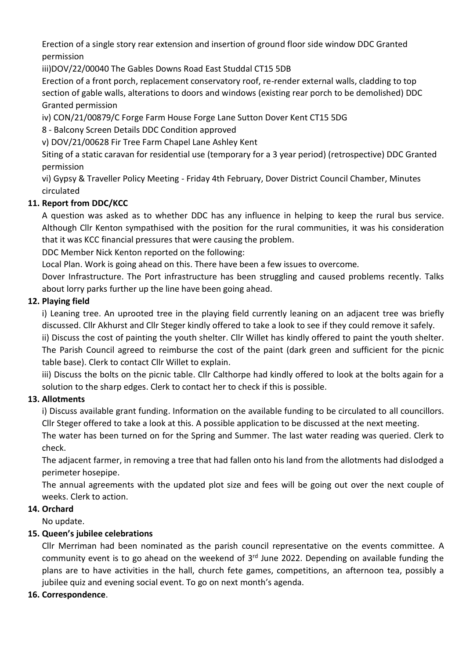Erection of a single story rear extension and insertion of ground floor side window DDC Granted permission

iii)DOV/22/00040 The Gables Downs Road East Studdal CT15 5DB

Erection of a front porch, replacement conservatory roof, re-render external walls, cladding to top section of gable walls, alterations to doors and windows (existing rear porch to be demolished) DDC Granted permission

iv) CON/21/00879/C Forge Farm House Forge Lane Sutton Dover Kent CT15 5DG

8 - Balcony Screen Details DDC Condition approved

v) DOV/21/00628 Fir Tree Farm Chapel Lane Ashley Kent

Siting of a static caravan for residential use (temporary for a 3 year period) (retrospective) DDC Granted permission

vi) Gypsy & Traveller Policy Meeting - Friday 4th February, Dover District Council Chamber, Minutes circulated

# **11. Report from DDC/KCC**

A question was asked as to whether DDC has any influence in helping to keep the rural bus service. Although Cllr Kenton sympathised with the position for the rural communities, it was his consideration that it was KCC financial pressures that were causing the problem.

DDC Member Nick Kenton reported on the following:

Local Plan. Work is going ahead on this. There have been a few issues to overcome.

Dover Infrastructure. The Port infrastructure has been struggling and caused problems recently. Talks about lorry parks further up the line have been going ahead.

## **12. Playing field**

i) Leaning tree. An uprooted tree in the playing field currently leaning on an adjacent tree was briefly discussed. Cllr Akhurst and Cllr Steger kindly offered to take a look to see if they could remove it safely.

ii) Discuss the cost of painting the youth shelter. Cllr Willet has kindly offered to paint the youth shelter. The Parish Council agreed to reimburse the cost of the paint (dark green and sufficient for the picnic table base). Clerk to contact Cllr Willet to explain.

iii) Discuss the bolts on the picnic table. Cllr Calthorpe had kindly offered to look at the bolts again for a solution to the sharp edges. Clerk to contact her to check if this is possible.

## **13. Allotments**

i) Discuss available grant funding. Information on the available funding to be circulated to all councillors. Cllr Steger offered to take a look at this. A possible application to be discussed at the next meeting.

The water has been turned on for the Spring and Summer. The last water reading was queried. Clerk to check.

The adjacent farmer, in removing a tree that had fallen onto his land from the allotments had dislodged a perimeter hosepipe.

The annual agreements with the updated plot size and fees will be going out over the next couple of weeks. Clerk to action.

## **14. Orchard**

No update.

## **15. Queen's jubilee celebrations**

Cllr Merriman had been nominated as the parish council representative on the events committee. A community event is to go ahead on the weekend of 3<sup>rd</sup> June 2022. Depending on available funding the plans are to have activities in the hall, church fete games, competitions, an afternoon tea, possibly a jubilee quiz and evening social event. To go on next month's agenda.

## **16. Correspondence**.